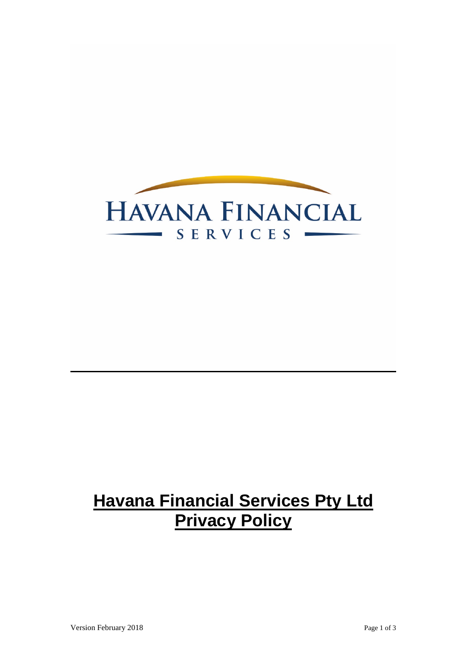

# **Havana Financial Services Pty Ltd Privacy Policy**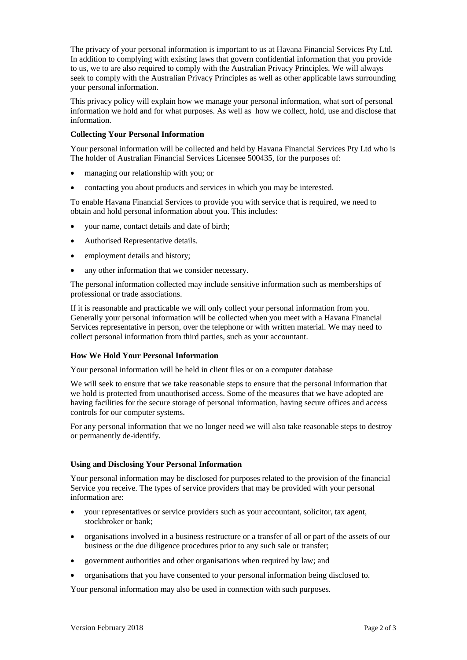The privacy of your personal information is important to us at Havana Financial Services Pty Ltd. In addition to complying with existing laws that govern confidential information that you provide to us, we to are also required to comply with the Australian Privacy Principles. We will always seek to comply with the Australian Privacy Principles as well as other applicable laws surrounding your personal information.

This privacy policy will explain how we manage your personal information, what sort of personal information we hold and for what purposes. As well as how we collect, hold, use and disclose that information.

# **Collecting Your Personal Information**

Your personal information will be collected and held by Havana Financial Services Pty Ltd who is The holder of Australian Financial Services Licensee 500435, for the purposes of:

- managing our relationship with you; or
- contacting you about products and services in which you may be interested.

To enable Havana Financial Services to provide you with service that is required, we need to obtain and hold personal information about you. This includes:

- your name, contact details and date of birth;
- Authorised Representative details.
- employment details and history;
- any other information that we consider necessary.

The personal information collected may include sensitive information such as memberships of professional or trade associations.

If it is reasonable and practicable we will only collect your personal information from you. Generally your personal information will be collected when you meet with a Havana Financial Services representative in person, over the telephone or with written material. We may need to collect personal information from third parties, such as your accountant.

# **How We Hold Your Personal Information**

Your personal information will be held in client files or on a computer database

We will seek to ensure that we take reasonable steps to ensure that the personal information that we hold is protected from unauthorised access. Some of the measures that we have adopted are having facilities for the secure storage of personal information, having secure offices and access controls for our computer systems.

For any personal information that we no longer need we will also take reasonable steps to destroy or permanently de-identify.

# **Using and Disclosing Your Personal Information**

Your personal information may be disclosed for purposes related to the provision of the financial Service you receive. The types of service providers that may be provided with your personal information are:

- your representatives or service providers such as your accountant, solicitor, tax agent, stockbroker or bank;
- organisations involved in a business restructure or a transfer of all or part of the assets of our business or the due diligence procedures prior to any such sale or transfer;
- government authorities and other organisations when required by law; and
- organisations that you have consented to your personal information being disclosed to.

Your personal information may also be used in connection with such purposes.